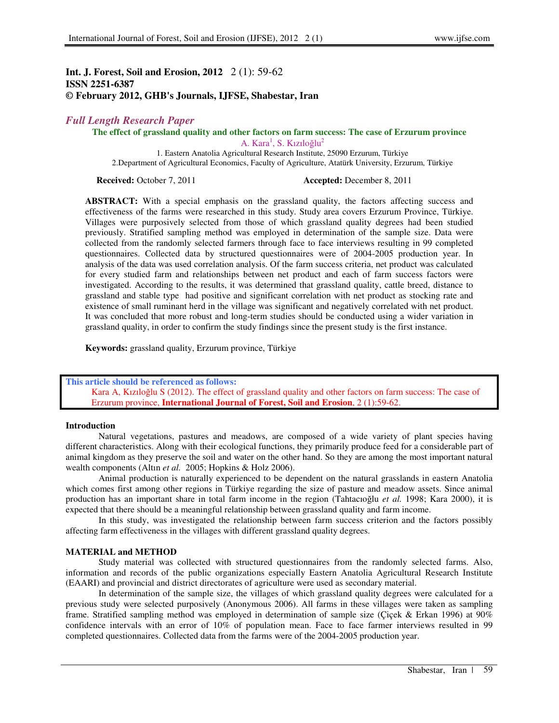# **Int. J. Forest, Soil and Erosion, 2012** 2 (1): 59-62 **ISSN 2251-6387 © February 2012, GHB's Journals, IJFSE, Shabestar, Iran**

## *Full Length Research Paper*

**The effect of grassland quality and other factors on farm success: The case of Erzurum province** 

A. Kara<sup>1</sup>, S. Kızıloğlu<sup>2</sup>

1. Eastern Anatolia Agricultural Research Institute, 25090 Erzurum, Türkiye 2.Department of Agricultural Economics, Faculty of Agriculture, Atatürk University, Erzurum, Türkiye

**Received:** October 7, 2011 **Accepted:** December 8, 2011

ABSTRACT: With a special emphasis on the grassland quality, the factors affecting success and effectiveness of the farms were researched in this study. Study area covers Erzurum Province, Türkiye. Villages were purposively selected from those of which grassland quality degrees had been studied previously. Stratified sampling method was employed in determination of the sample size. Data were collected from the randomly selected farmers through face to face interviews resulting in 99 completed questionnaires. Collected data by structured questionnaires were of 2004-2005 production year. In analysis of the data was used correlation analysis. Of the farm success criteria, net product was calculated for every studied farm and relationships between net product and each of farm success factors were investigated. According to the results, it was determined that grassland quality, cattle breed, distance to grassland and stable type had positive and significant correlation with net product as stocking rate and existence of small ruminant herd in the village was significant and negatively correlated with net product. It was concluded that more robust and long-term studies should be conducted using a wider variation in grassland quality, in order to confirm the study findings since the present study is the first instance.

**Keywords:** grassland quality, Erzurum province, Türkiye

## **This article should be referenced as follows:**

Kara A, Kızıloğlu S (2012). The effect of grassland quality and other factors on farm success: The case of Erzurum province, **International Journal of Forest, Soil and Erosion**, 2 (1):59-62.

#### **Introduction**

Natural vegetations, pastures and meadows, are composed of a wide variety of plant species having different characteristics. Along with their ecological functions, they primarily produce feed for a considerable part of animal kingdom as they preserve the soil and water on the other hand. So they are among the most important natural wealth components (Altın *et al.* 2005; Hopkins & Holz 2006).

Animal production is naturally experienced to be dependent on the natural grasslands in eastern Anatolia which comes first among other regions in Türkiye regarding the size of pasture and meadow assets. Since animal production has an important share in total farm income in the region (Tahtacıoğlu *et al.* 1998; Kara 2000), it is expected that there should be a meaningful relationship between grassland quality and farm income.

In this study, was investigated the relationship between farm success criterion and the factors possibly affecting farm effectiveness in the villages with different grassland quality degrees.

### **MATERIAL and METHOD**

Study material was collected with structured questionnaires from the randomly selected farms. Also, information and records of the public organizations especially Eastern Anatolia Agricultural Research Institute (EAARI) and provincial and district directorates of agriculture were used as secondary material.

In determination of the sample size, the villages of which grassland quality degrees were calculated for a previous study were selected purposively (Anonymous 2006). All farms in these villages were taken as sampling frame. Stratified sampling method was employed in determination of sample size (Çiçek & Erkan 1996) at 90% confidence intervals with an error of 10% of population mean. Face to face farmer interviews resulted in 99 completed questionnaires. Collected data from the farms were of the 2004-2005 production year.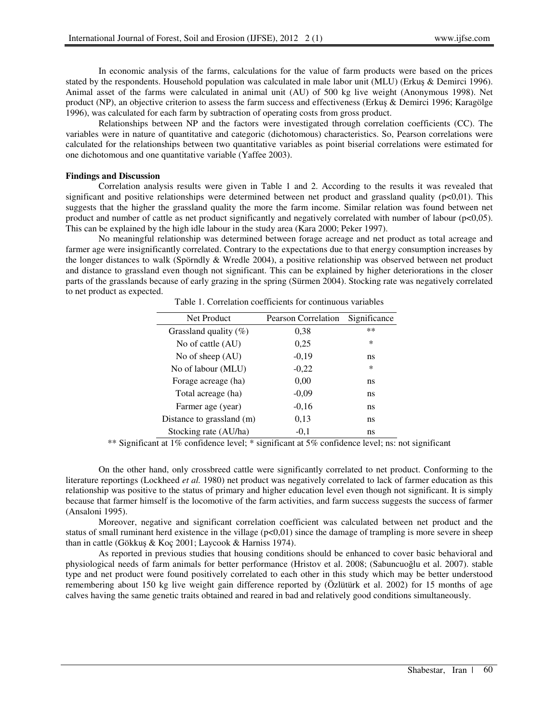In economic analysis of the farms, calculations for the value of farm products were based on the prices stated by the respondents. Household population was calculated in male labor unit (MLU) (Erkuş & Demirci 1996). Animal asset of the farms were calculated in animal unit (AU) of 500 kg live weight (Anonymous 1998). Net product (NP), an objective criterion to assess the farm success and effectiveness (Erkuş & Demirci 1996; Karagölge 1996), was calculated for each farm by subtraction of operating costs from gross product.

Relationships between NP and the factors were investigated through correlation coefficients (CC). The variables were in nature of quantitative and categoric (dichotomous) characteristics. So, Pearson correlations were calculated for the relationships between two quantitative variables as point biserial correlations were estimated for one dichotomous and one quantitative variable (Yaffee 2003).

## **Findings and Discussion**

Correlation analysis results were given in Table 1 and 2. According to the results it was revealed that significant and positive relationships were determined between net product and grassland quality ( $p<0,01$ ). This suggests that the higher the grassland quality the more the farm income. Similar relation was found between net product and number of cattle as net product significantly and negatively correlated with number of labour  $(p<0,05)$ . This can be explained by the high idle labour in the study area (Kara 2000; Peker 1997).

No meaningful relationship was determined between forage acreage and net product as total acreage and farmer age were insignificantly correlated. Contrary to the expectations due to that energy consumption increases by the longer distances to walk (Spörndly & Wredle 2004), a positive relationship was observed between net product and distance to grassland even though not significant. This can be explained by higher deteriorations in the closer parts of the grasslands because of early grazing in the spring (Sürmen 2004). Stocking rate was negatively correlated to net product as expected.

| Net Product               | Pearson Correlation | Significance |
|---------------------------|---------------------|--------------|
| Grassland quality $(\%)$  | 0.38                | $***$        |
| No of cattle (AU)         | 0.25                | *            |
| No of sheep (AU)          | $-0.19$             | ns           |
| No of labour (MLU)        | $-0,22$             | *            |
| Forage acreage (ha)       | 0,00                | ns           |
| Total acreage (ha)        | $-0.09$             | ns           |
| Farmer age (year)         | $-0.16$             | ns           |
| Distance to grassland (m) | 0,13                | ns           |
| Stocking rate (AU/ha)     | $-0.1$              | ns           |

Table 1. Correlation coefficients for continuous variables

\*\* Significant at 1% confidence level; \* significant at 5% confidence level; ns: not significant

On the other hand, only crossbreed cattle were significantly correlated to net product. Conforming to the literature reportings (Lockheed *et al.* 1980) net product was negatively correlated to lack of farmer education as this relationship was positive to the status of primary and higher education level even though not significant. It is simply because that farmer himself is the locomotive of the farm activities, and farm success suggests the success of farmer (Ansaloni 1995).

Moreover, negative and significant correlation coefficient was calculated between net product and the status of small ruminant herd existence in the village  $(p<0,01)$  since the damage of trampling is more severe in sheep than in cattle (Gökkuş & Koç 2001; Laycook & Harniss 1974).

As reported in previous studies that housing conditions should be enhanced to cover basic behavioral and physiological needs of farm animals for better performance (Hristov et al. 2008; (Sabuncuoğlu et al. 2007). stable type and net product were found positively correlated to each other in this study which may be better understood remembering about 150 kg live weight gain difference reported by (Özlütürk et al. 2002) for 15 months of age calves having the same genetic traits obtained and reared in bad and relatively good conditions simultaneously.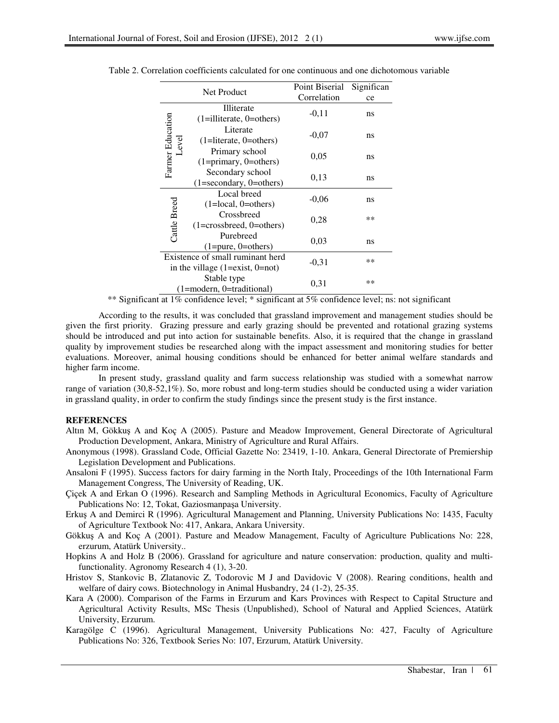| <b>Net Product</b>       |                                                                           | Point Biserial | Significan |
|--------------------------|---------------------------------------------------------------------------|----------------|------------|
|                          |                                                                           | Correlation    | ce         |
| Farmer Education<br>evel | <b>Illiterate</b><br>$(1=illiterate, 0=others)$                           | $-0,11$        | ns         |
|                          | Literate<br>$(1=$ literate, 0=others)                                     | $-0,07$        | ns         |
|                          | Primary school<br>$(1 = primary, 0 = others)$                             | 0,05           | ns         |
|                          | Secondary school<br>$(1 = secondary, 0 = others)$                         | 0,13           | ns         |
| Local breed              | $(1 = local, 0 = others)$                                                 | $-0,06$        | ns         |
|                          | Cattle Breed<br>Crossbreed<br>$(1 = crossbreed, 0 = others)$              | 0,28           | **         |
|                          | Purebreed<br>$(1 = pure, 0 = others)$                                     | 0.03           | ns         |
|                          | Existence of small ruminant herd<br>in the village $(1 = exist, 0 = not)$ | $-0.31$        | **         |
|                          | Stable type<br>(1=modern, 0=traditional)                                  | 0,31           | $**$       |

Table 2. Correlation coefficients calculated for one continuous and one dichotomous variable

\*\* Significant at 1% confidence level; \* significant at 5% confidence level; ns: not significant

According to the results, it was concluded that grassland improvement and management studies should be given the first priority. Grazing pressure and early grazing should be prevented and rotational grazing systems should be introduced and put into action for sustainable benefits. Also, it is required that the change in grassland quality by improvement studies be researched along with the impact assessment and monitoring studies for better evaluations. Moreover, animal housing conditions should be enhanced for better animal welfare standards and higher farm income.

In present study, grassland quality and farm success relationship was studied with a somewhat narrow range of variation (30,8-52,1%). So, more robust and long-term studies should be conducted using a wider variation in grassland quality, in order to confirm the study findings since the present study is the first instance.

### **REFERENCES**

- Altın M, Gökkuş A and Koç A (2005). Pasture and Meadow Improvement, General Directorate of Agricultural Production Development, Ankara, Ministry of Agriculture and Rural Affairs.
- Anonymous (1998). Grassland Code, Official Gazette No: 23419, 1-10. Ankara, General Directorate of Premiership Legislation Development and Publications.
- Ansaloni F (1995). Success factors for dairy farming in the North Italy, Proceedings of the 10th International Farm Management Congress, The University of Reading, UK.
- Çiçek A and Erkan O (1996). Research and Sampling Methods in Agricultural Economics, Faculty of Agriculture Publications No: 12, Tokat, Gaziosmanpaşa University.
- Erkuş A and Demirci R (1996). Agricultural Management and Planning, University Publications No: 1435, Faculty of Agriculture Textbook No: 417, Ankara, Ankara University.
- Gökkuş A and Koç A (2001). Pasture and Meadow Management, Faculty of Agriculture Publications No: 228, erzurum, Atatürk University..
- Hopkins A and Holz B (2006). Grassland for agriculture and nature conservation: production, quality and multifunctionality. Agronomy Research 4 (1), 3-20.
- Hristov S, Stankovic B, Zlatanovic Z, Todorovic M J and Davidovic V (2008). Rearing conditions, health and welfare of dairy cows. Biotechnology in Animal Husbandry, 24 (1-2), 25-35.
- Kara A (2000). Comparison of the Farms in Erzurum and Kars Provinces with Respect to Capital Structure and Agricultural Activity Results, MSc Thesis (Unpublished), School of Natural and Applied Sciences, Atatürk University, Erzurum.
- Karagölge C (1996). Agricultural Management, University Publications No: 427, Faculty of Agriculture Publications No: 326, Textbook Series No: 107, Erzurum, Atatürk University.